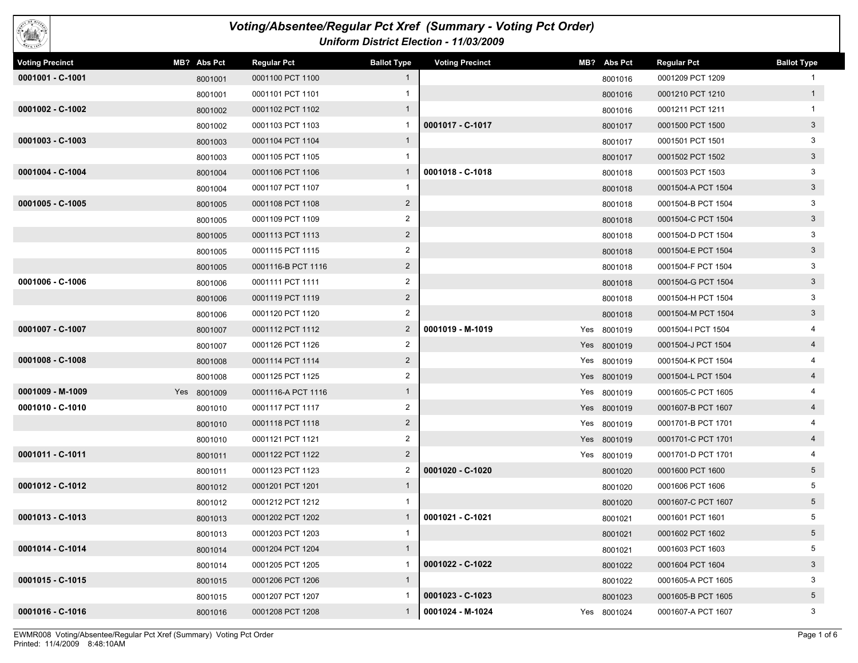

## *Voting/Absentee/Regular Pct Xref (Summary - Voting Pct Order) Uniform District Election - 11/03/2009*

| <b>Voting Precinct</b> | MB? Abs Pct | <b>Regular Pct</b> | <b>Ballot Type</b> | <b>Voting Precinct</b> | MB? Abs Pct | <b>Regular Pct</b> | <b>Ballot Type</b> |
|------------------------|-------------|--------------------|--------------------|------------------------|-------------|--------------------|--------------------|
| 0001001 - C-1001       | 8001001     | 0001100 PCT 1100   | $\mathbf{1}$       |                        | 8001016     | 0001209 PCT 1209   |                    |
|                        | 8001001     | 0001101 PCT 1101   |                    |                        | 8001016     | 0001210 PCT 1210   | $\mathbf{1}$       |
| 0001002 - C-1002       | 8001002     | 0001102 PCT 1102   | $\mathbf{1}$       |                        | 8001016     | 0001211 PCT 1211   | $\mathbf{1}$       |
|                        | 8001002     | 0001103 PCT 1103   | 1                  | 0001017 - C-1017       | 8001017     | 0001500 PCT 1500   | $\mathbf{3}$       |
| $0001003 - C-1003$     | 8001003     | 0001104 PCT 1104   | $\mathbf{1}$       |                        | 8001017     | 0001501 PCT 1501   | 3                  |
|                        | 8001003     | 0001105 PCT 1105   | 1                  |                        | 8001017     | 0001502 PCT 1502   | $3\phantom{a}$     |
| 0001004 - C-1004       | 8001004     | 0001106 PCT 1106   | $\mathbf{1}$       | 0001018 - C-1018       | 8001018     | 0001503 PCT 1503   | 3                  |
|                        | 8001004     | 0001107 PCT 1107   | $\mathbf{1}$       |                        | 8001018     | 0001504-A PCT 1504 | $\mathbf{3}$       |
| 0001005 - C-1005       | 8001005     | 0001108 PCT 1108   | $\overline{2}$     |                        | 8001018     | 0001504-B PCT 1504 | 3                  |
|                        | 8001005     | 0001109 PCT 1109   | $\overline{2}$     |                        | 8001018     | 0001504-C PCT 1504 | $\mathbf{3}$       |
|                        | 8001005     | 0001113 PCT 1113   | $\overline{2}$     |                        | 8001018     | 0001504-D PCT 1504 | 3                  |
|                        | 8001005     | 0001115 PCT 1115   | $\overline{2}$     |                        | 8001018     | 0001504-E PCT 1504 | $\mathbf{3}$       |
|                        | 8001005     | 0001116-B PCT 1116 | $\overline{2}$     |                        | 8001018     | 0001504-F PCT 1504 | 3                  |
| 0001006 - C-1006       | 8001006     | 0001111 PCT 1111   | $\overline{c}$     |                        | 8001018     | 0001504-G PCT 1504 | $\mathbf{3}$       |
|                        | 8001006     | 0001119 PCT 1119   | $\overline{2}$     |                        | 8001018     | 0001504-H PCT 1504 | 3                  |
|                        | 8001006     | 0001120 PCT 1120   | 2                  |                        | 8001018     | 0001504-M PCT 1504 | $\mathbf{3}$       |
| 0001007 - C-1007       | 8001007     | 0001112 PCT 1112   | $\overline{2}$     | 0001019 - M-1019       | Yes 8001019 | 0001504-I PCT 1504 | 4                  |
|                        | 8001007     | 0001126 PCT 1126   | $\overline{2}$     |                        | Yes 8001019 | 0001504-J PCT 1504 | $\overline{4}$     |
| $0001008 - C - 1008$   | 8001008     | 0001114 PCT 1114   | $\overline{2}$     |                        | Yes 8001019 | 0001504-K PCT 1504 |                    |
|                        | 8001008     | 0001125 PCT 1125   | $\overline{2}$     |                        | Yes 8001019 | 0001504-L PCT 1504 | $\overline{4}$     |
| 0001009 - M-1009       | Yes 8001009 | 0001116-A PCT 1116 | $\mathbf{1}$       |                        | Yes 8001019 | 0001605-C PCT 1605 | 4                  |
| 0001010 - C-1010       | 8001010     | 0001117 PCT 1117   | $\overline{2}$     |                        | Yes 8001019 | 0001607-B PCT 1607 | $\overline{4}$     |
|                        | 8001010     | 0001118 PCT 1118   | $\overline{2}$     |                        | Yes 8001019 | 0001701-B PCT 1701 |                    |
|                        | 8001010     | 0001121 PCT 1121   | $\overline{2}$     |                        | Yes 8001019 | 0001701-C PCT 1701 | $\overline{4}$     |
| 0001011 - C-1011       | 8001011     | 0001122 PCT 1122   | $\overline{2}$     |                        | Yes 8001019 | 0001701-D PCT 1701 |                    |
|                        | 8001011     | 0001123 PCT 1123   | 2                  | 0001020 - C-1020       | 8001020     | 0001600 PCT 1600   | 5 <sup>5</sup>     |
| 0001012 - C-1012       | 8001012     | 0001201 PCT 1201   | $\mathbf{1}$       |                        | 8001020     | 0001606 PCT 1606   | 5                  |
|                        | 8001012     | 0001212 PCT 1212   |                    |                        | 8001020     | 0001607-C PCT 1607 | 5 <sup>5</sup>     |
| 0001013 - C-1013       | 8001013     | 0001202 PCT 1202   | $\mathbf{1}$       | 0001021 - C-1021       | 8001021     | 0001601 PCT 1601   | 5                  |
|                        | 8001013     | 0001203 PCT 1203   | 1                  |                        | 8001021     | 0001602 PCT 1602   | $5\overline{)}$    |
| 0001014 - C-1014       | 8001014     | 0001204 PCT 1204   | $\mathbf{1}$       |                        | 8001021     | 0001603 PCT 1603   | 5                  |
|                        | 8001014     | 0001205 PCT 1205   | 1                  | 0001022 - C-1022       | 8001022     | 0001604 PCT 1604   | 3 <sup>5</sup>     |
| 0001015 - C-1015       | 8001015     | 0001206 PCT 1206   | $\mathbf{1}$       |                        | 8001022     | 0001605-A PCT 1605 | 3                  |
|                        | 8001015     | 0001207 PCT 1207   | 1                  | 0001023 - C-1023       | 8001023     | 0001605-B PCT 1605 | $5\overline{)}$    |
| 0001016 - C-1016       | 8001016     | 0001208 PCT 1208   | $\mathbf{1}$       | 0001024 - M-1024       | Yes 8001024 | 0001607-A PCT 1607 | 3                  |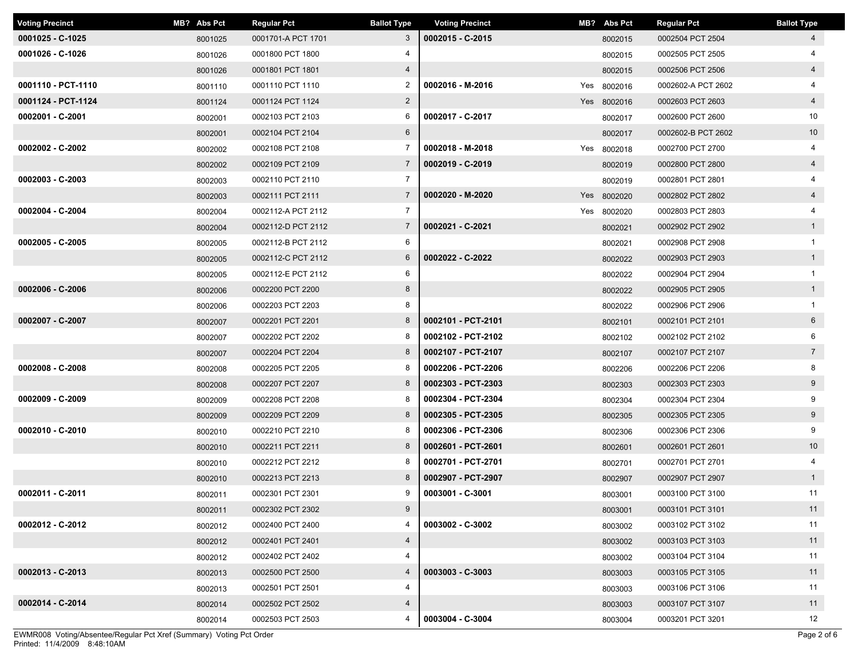| <b>Voting Precinct</b> | MB? Abs Pct | <b>Regular Pct</b> | <b>Ballot Type</b> | <b>Voting Precinct</b> | MB? Abs Pct | Regular Pct        | <b>Ballot Type</b> |
|------------------------|-------------|--------------------|--------------------|------------------------|-------------|--------------------|--------------------|
| 0001025 - C-1025       | 8001025     | 0001701-A PCT 1701 | $\mathbf{3}$       | 0002015 - C-2015       | 8002015     | 0002504 PCT 2504   | $\overline{4}$     |
| 0001026 - C-1026       | 8001026     | 0001800 PCT 1800   | 4                  |                        | 8002015     | 0002505 PCT 2505   |                    |
|                        | 8001026     | 0001801 PCT 1801   | $\overline{4}$     |                        | 8002015     | 0002506 PCT 2506   | $\overline{4}$     |
| 0001110 - PCT-1110     | 8001110     | 0001110 PCT 1110   | 2                  | 0002016 - M-2016       | Yes 8002016 | 0002602-A PCT 2602 | 4                  |
| 0001124 - PCT-1124     | 8001124     | 0001124 PCT 1124   | $\overline{2}$     |                        | Yes 8002016 | 0002603 PCT 2603   | $\overline{4}$     |
| 0002001 - C-2001       | 8002001     | 0002103 PCT 2103   | 6                  | 0002017 - C-2017       | 8002017     | 0002600 PCT 2600   | 10                 |
|                        | 8002001     | 0002104 PCT 2104   | 6                  |                        | 8002017     | 0002602-B PCT 2602 | 10                 |
| 0002002 - C-2002       | 8002002     | 0002108 PCT 2108   | $\overline{7}$     | 0002018 - M-2018       | Yes 8002018 | 0002700 PCT 2700   |                    |
|                        | 8002002     | 0002109 PCT 2109   | $\overline{7}$     | 0002019 - C-2019       | 8002019     | 0002800 PCT 2800   | $\overline{4}$     |
| 0002003 - C-2003       | 8002003     | 0002110 PCT 2110   | $\overline{7}$     |                        | 8002019     | 0002801 PCT 2801   | 4                  |
|                        | 8002003     | 0002111 PCT 2111   | $\overline{7}$     | 0002020 - M-2020       | Yes 8002020 | 0002802 PCT 2802   | $\overline{4}$     |
| 0002004 - C-2004       | 8002004     | 0002112-A PCT 2112 | $\overline{7}$     |                        | Yes 8002020 | 0002803 PCT 2803   | 4                  |
|                        | 8002004     | 0002112-D PCT 2112 | $\overline{7}$     | 0002021 - C-2021       | 8002021     | 0002902 PCT 2902   | $\mathbf{1}$       |
| 0002005 - C-2005       | 8002005     | 0002112-B PCT 2112 | 6                  |                        | 8002021     | 0002908 PCT 2908   |                    |
|                        | 8002005     | 0002112-C PCT 2112 | $6\overline{6}$    | 0002022 - C-2022       | 8002022     | 0002903 PCT 2903   | $\mathbf{1}$       |
|                        | 8002005     | 0002112-E PCT 2112 | 6                  |                        | 8002022     | 0002904 PCT 2904   |                    |
| 0002006 - C-2006       | 8002006     | 0002200 PCT 2200   | 8                  |                        | 8002022     | 0002905 PCT 2905   | $\mathbf{1}$       |
|                        | 8002006     | 0002203 PCT 2203   | 8                  |                        | 8002022     | 0002906 PCT 2906   |                    |
| 0002007 - C-2007       | 8002007     | 0002201 PCT 2201   | 8                  | 0002101 - PCT-2101     | 8002101     | 0002101 PCT 2101   | 6                  |
|                        | 8002007     | 0002202 PCT 2202   | 8                  | 0002102 - PCT-2102     | 8002102     | 0002102 PCT 2102   | 6                  |
|                        | 8002007     | 0002204 PCT 2204   | 8                  | 0002107 - PCT-2107     | 8002107     | 0002107 PCT 2107   | $\overline{7}$     |
| $0002008 - C - 2008$   | 8002008     | 0002205 PCT 2205   | 8                  | 0002206 - PCT-2206     | 8002206     | 0002206 PCT 2206   | 8                  |
|                        | 8002008     | 0002207 PCT 2207   | 8                  | 0002303 - PCT-2303     | 8002303     | 0002303 PCT 2303   | 9                  |
| $0002009 - C - 2009$   | 8002009     | 0002208 PCT 2208   | 8                  | 0002304 - PCT-2304     | 8002304     | 0002304 PCT 2304   | 9                  |
|                        | 8002009     | 0002209 PCT 2209   | 8                  | 0002305 - PCT-2305     | 8002305     | 0002305 PCT 2305   | 9                  |
| 0002010 - C-2010       | 8002010     | 0002210 PCT 2210   | 8                  | 0002306 - PCT-2306     | 8002306     | 0002306 PCT 2306   | 9                  |
|                        | 8002010     | 0002211 PCT 2211   | 8                  | 0002601 - PCT-2601     | 8002601     | 0002601 PCT 2601   | 10                 |
|                        | 8002010     | 0002212 PCT 2212   | 8                  | 0002701 - PCT-2701     | 8002701     | 0002701 PCT 2701   | 4                  |
|                        | 8002010     | 0002213 PCT 2213   | 8                  | 0002907 - PCT-2907     | 8002907     | 0002907 PCT 2907   | $\mathbf{1}$       |
| 0002011 - C-2011       | 8002011     | 0002301 PCT 2301   | 9                  | 0003001 - C-3001       | 8003001     | 0003100 PCT 3100   | 11                 |
|                        | 8002011     | 0002302 PCT 2302   | 9                  |                        | 8003001     | 0003101 PCT 3101   | 11                 |
| 0002012 - C-2012       | 8002012     | 0002400 PCT 2400   | 4                  | 0003002 - C-3002       | 8003002     | 0003102 PCT 3102   | 11                 |
|                        | 8002012     | 0002401 PCT 2401   | $\overline{4}$     |                        | 8003002     | 0003103 PCT 3103   | 11                 |
|                        | 8002012     | 0002402 PCT 2402   | 4                  |                        | 8003002     | 0003104 PCT 3104   | 11                 |
| $0002013 - C-2013$     | 8002013     | 0002500 PCT 2500   | 4                  | 0003003 - C-3003       | 8003003     | 0003105 PCT 3105   | 11                 |
|                        | 8002013     | 0002501 PCT 2501   | 4                  |                        | 8003003     | 0003106 PCT 3106   | 11                 |
| 0002014 - C-2014       | 8002014     | 0002502 PCT 2502   | $\overline{4}$     |                        | 8003003     | 0003107 PCT 3107   | 11                 |
|                        | 8002014     | 0002503 PCT 2503   | 4                  | 0003004 - C-3004       | 8003004     | 0003201 PCT 3201   | 12                 |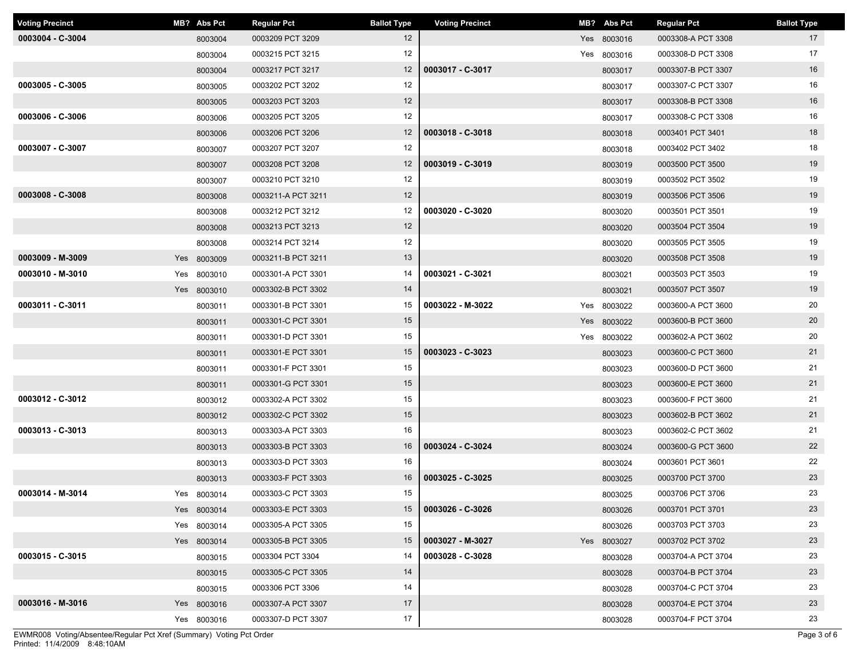| <b>Voting Precinct</b> | MB? Abs Pct | <b>Regular Pct</b> | <b>Ballot Type</b> | <b>Voting Precinct</b> | MB? Abs Pct | <b>Regular Pct</b> | <b>Ballot Type</b> |
|------------------------|-------------|--------------------|--------------------|------------------------|-------------|--------------------|--------------------|
| 0003004 - C-3004       | 8003004     | 0003209 PCT 3209   | 12 <sup>2</sup>    |                        | Yes 8003016 | 0003308-A PCT 3308 | 17                 |
|                        | 8003004     | 0003215 PCT 3215   | 12                 |                        | Yes 8003016 | 0003308-D PCT 3308 | 17                 |
|                        | 8003004     | 0003217 PCT 3217   | 12                 | 0003017 - C-3017       | 8003017     | 0003307-B PCT 3307 | 16                 |
| 0003005 - C-3005       | 8003005     | 0003202 PCT 3202   | 12                 |                        | 8003017     | 0003307-C PCT 3307 | 16                 |
|                        | 8003005     | 0003203 PCT 3203   | 12                 |                        | 8003017     | 0003308-B PCT 3308 | 16                 |
| 0003006 - C-3006       | 8003006     | 0003205 PCT 3205   | 12                 |                        | 8003017     | 0003308-C PCT 3308 | 16                 |
|                        | 8003006     | 0003206 PCT 3206   | 12 <sup>2</sup>    | 0003018 - C-3018       | 8003018     | 0003401 PCT 3401   | 18                 |
| 0003007 - C-3007       | 8003007     | 0003207 PCT 3207   | 12                 |                        | 8003018     | 0003402 PCT 3402   | 18                 |
|                        | 8003007     | 0003208 PCT 3208   | 12                 | 0003019 - C-3019       | 8003019     | 0003500 PCT 3500   | 19                 |
|                        | 8003007     | 0003210 PCT 3210   | 12                 |                        | 8003019     | 0003502 PCT 3502   | 19                 |
| 0003008 - C-3008       | 8003008     | 0003211-A PCT 3211 | 12                 |                        | 8003019     | 0003506 PCT 3506   | 19                 |
|                        | 8003008     | 0003212 PCT 3212   | 12                 | 0003020 - C-3020       | 8003020     | 0003501 PCT 3501   | 19                 |
|                        | 8003008     | 0003213 PCT 3213   | 12                 |                        | 8003020     | 0003504 PCT 3504   | 19                 |
|                        | 8003008     | 0003214 PCT 3214   | 12                 |                        | 8003020     | 0003505 PCT 3505   | 19                 |
| 0003009 - M-3009       | Yes 8003009 | 0003211-B PCT 3211 | 13                 |                        | 8003020     | 0003508 PCT 3508   | 19                 |
| 0003010 - M-3010       | Yes 8003010 | 0003301-A PCT 3301 | 14                 | 0003021 - C-3021       | 8003021     | 0003503 PCT 3503   | 19                 |
|                        | Yes 8003010 | 0003302-B PCT 3302 | 14                 |                        | 8003021     | 0003507 PCT 3507   | 19                 |
| 0003011 - C-3011       | 8003011     | 0003301-B PCT 3301 | 15                 | 0003022 - M-3022       | Yes 8003022 | 0003600-A PCT 3600 | 20                 |
|                        | 8003011     | 0003301-C PCT 3301 | 15                 |                        | Yes 8003022 | 0003600-B PCT 3600 | 20                 |
|                        | 8003011     | 0003301-D PCT 3301 | 15                 |                        | Yes 8003022 | 0003602-A PCT 3602 | 20                 |
|                        | 8003011     | 0003301-E PCT 3301 | 15                 | 0003023 - C-3023       | 8003023     | 0003600-C PCT 3600 | 21                 |
|                        | 8003011     | 0003301-F PCT 3301 | 15                 |                        | 8003023     | 0003600-D PCT 3600 | 21                 |
|                        | 8003011     | 0003301-G PCT 3301 | 15                 |                        | 8003023     | 0003600-E PCT 3600 | 21                 |
| 0003012 - C-3012       | 8003012     | 0003302-A PCT 3302 | 15                 |                        | 8003023     | 0003600-F PCT 3600 | 21                 |
|                        | 8003012     | 0003302-C PCT 3302 | 15                 |                        | 8003023     | 0003602-B PCT 3602 | 21                 |
| 0003013 - C-3013       | 8003013     | 0003303-A PCT 3303 | 16                 |                        | 8003023     | 0003602-C PCT 3602 | 21                 |
|                        | 8003013     | 0003303-B PCT 3303 | 16                 | 0003024 - C-3024       | 8003024     | 0003600-G PCT 3600 | 22                 |
|                        | 8003013     | 0003303-D PCT 3303 | 16                 |                        | 8003024     | 0003601 PCT 3601   | 22                 |
|                        | 8003013     | 0003303-F PCT 3303 | 16                 | 0003025 - C-3025       | 8003025     | 0003700 PCT 3700   | 23                 |
| 0003014 - M-3014       | Yes 8003014 | 0003303-C PCT 3303 | 15                 |                        | 8003025     | 0003706 PCT 3706   | 23                 |
|                        | Yes 8003014 | 0003303-E PCT 3303 | 15                 | 0003026 - C-3026       | 8003026     | 0003701 PCT 3701   | 23                 |
|                        | Yes 8003014 | 0003305-A PCT 3305 | 15                 |                        | 8003026     | 0003703 PCT 3703   | 23                 |
|                        | Yes 8003014 | 0003305-B PCT 3305 | 15                 | 0003027 - M-3027       | Yes 8003027 | 0003702 PCT 3702   | 23                 |
| 0003015 - C-3015       | 8003015     | 0003304 PCT 3304   | 14                 | 0003028 - C-3028       | 8003028     | 0003704-A PCT 3704 | 23                 |
|                        | 8003015     | 0003305-C PCT 3305 | 14                 |                        | 8003028     | 0003704-B PCT 3704 | 23                 |
|                        | 8003015     | 0003306 PCT 3306   | 14                 |                        | 8003028     | 0003704-C PCT 3704 | 23                 |
| 0003016 - M-3016       | Yes 8003016 | 0003307-A PCT 3307 | 17                 |                        | 8003028     | 0003704-E PCT 3704 | 23                 |
|                        | Yes 8003016 | 0003307-D PCT 3307 | 17                 |                        | 8003028     | 0003704-F PCT 3704 | 23                 |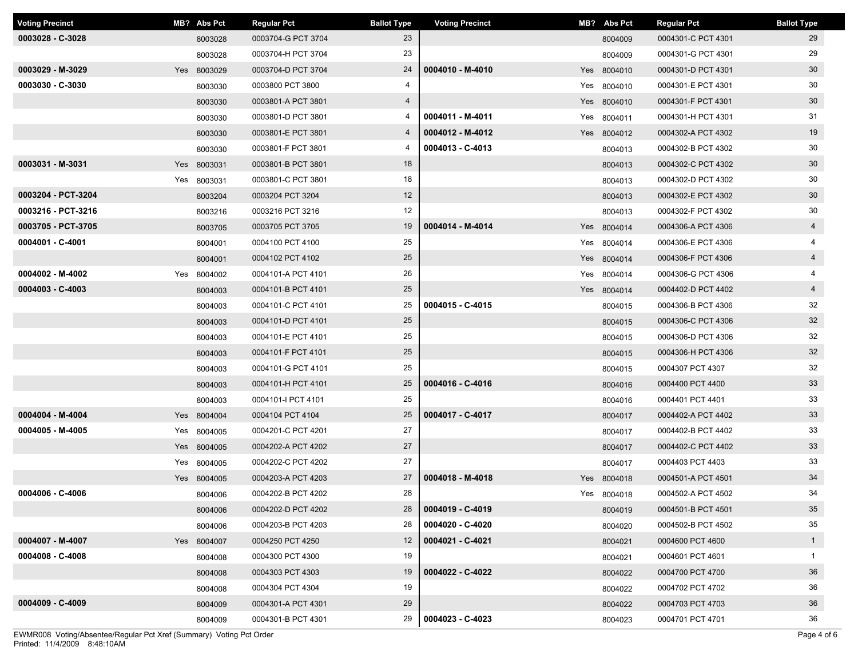| <b>Voting Precinct</b> | MB? Abs Pct | <b>Regular Pct</b> | <b>Ballot Type</b> | <b>Voting Precinct</b> | MB? Abs Pct | <b>Regular Pct</b> | <b>Ballot Type</b> |
|------------------------|-------------|--------------------|--------------------|------------------------|-------------|--------------------|--------------------|
| 0003028 - C-3028       | 8003028     | 0003704-G PCT 3704 | 23                 |                        | 8004009     | 0004301-C PCT 4301 | 29                 |
|                        | 8003028     | 0003704-H PCT 3704 | 23                 |                        | 8004009     | 0004301-G PCT 4301 | 29                 |
| 0003029 - M-3029       | Yes 8003029 | 0003704-D PCT 3704 | 24                 | 0004010 - M-4010       | Yes 8004010 | 0004301-D PCT 4301 | 30                 |
| 0003030 - C-3030       | 8003030     | 0003800 PCT 3800   | 4                  |                        | Yes 8004010 | 0004301-E PCT 4301 | 30                 |
|                        | 8003030     | 0003801-A PCT 3801 | $\overline{4}$     |                        | Yes 8004010 | 0004301-F PCT 4301 | 30 <sup>°</sup>    |
|                        | 8003030     | 0003801-D PCT 3801 | 4                  | 0004011 - M-4011       | Yes 8004011 | 0004301-H PCT 4301 | 31                 |
|                        | 8003030     | 0003801-E PCT 3801 | $\overline{4}$     | 0004012 - M-4012       | Yes 8004012 | 0004302-A PCT 4302 | 19                 |
|                        | 8003030     | 0003801-F PCT 3801 | 4                  | 0004013 - C-4013       | 8004013     | 0004302-B PCT 4302 | 30                 |
| 0003031 - M-3031       | Yes 8003031 | 0003801-B PCT 3801 | 18                 |                        | 8004013     | 0004302-C PCT 4302 | 30 <sup>°</sup>    |
|                        | Yes 8003031 | 0003801-C PCT 3801 | 18                 |                        | 8004013     | 0004302-D PCT 4302 | 30                 |
| 0003204 - PCT-3204     | 8003204     | 0003204 PCT 3204   | 12                 |                        | 8004013     | 0004302-E PCT 4302 | 30 <sup>°</sup>    |
| 0003216 - PCT-3216     | 8003216     | 0003216 PCT 3216   | 12                 |                        | 8004013     | 0004302-F PCT 4302 | 30                 |
| 0003705 - PCT-3705     | 8003705     | 0003705 PCT 3705   | 19                 | 0004014 - M-4014       | Yes 8004014 | 0004306-A PCT 4306 | $\overline{4}$     |
| 0004001 - C-4001       | 8004001     | 0004100 PCT 4100   | 25                 |                        | Yes 8004014 | 0004306-E PCT 4306 | 4                  |
|                        | 8004001     | 0004102 PCT 4102   | 25                 |                        | Yes 8004014 | 0004306-F PCT 4306 | $\overline{4}$     |
| 0004002 - M-4002       | Yes 8004002 | 0004101-A PCT 4101 | 26                 |                        | Yes 8004014 | 0004306-G PCT 4306 | 4                  |
| $0004003 - C-4003$     | 8004003     | 0004101-B PCT 4101 | 25                 |                        | Yes 8004014 | 0004402-D PCT 4402 | $\overline{4}$     |
|                        | 8004003     | 0004101-C PCT 4101 | 25                 | 0004015 - C-4015       | 8004015     | 0004306-B PCT 4306 | 32                 |
|                        | 8004003     | 0004101-D PCT 4101 | 25                 |                        | 8004015     | 0004306-C PCT 4306 | 32                 |
|                        | 8004003     | 0004101-E PCT 4101 | 25                 |                        | 8004015     | 0004306-D PCT 4306 | 32                 |
|                        | 8004003     | 0004101-F PCT 4101 | 25                 |                        | 8004015     | 0004306-H PCT 4306 | 32                 |
|                        | 8004003     | 0004101-G PCT 4101 | 25                 |                        | 8004015     | 0004307 PCT 4307   | 32                 |
|                        | 8004003     | 0004101-H PCT 4101 | 25                 | 0004016 - C-4016       | 8004016     | 0004400 PCT 4400   | 33                 |
|                        | 8004003     | 0004101-I PCT 4101 | 25                 |                        | 8004016     | 0004401 PCT 4401   | 33                 |
| 0004004 - M-4004       | Yes 8004004 | 0004104 PCT 4104   | 25                 | 0004017 - C-4017       | 8004017     | 0004402-A PCT 4402 | 33                 |
| 0004005 - M-4005       | Yes 8004005 | 0004201-C PCT 4201 | 27                 |                        | 8004017     | 0004402-B PCT 4402 | 33                 |
|                        | Yes 8004005 | 0004202-A PCT 4202 | 27                 |                        | 8004017     | 0004402-C PCT 4402 | 33                 |
|                        | Yes 8004005 | 0004202-C PCT 4202 | 27                 |                        | 8004017     | 0004403 PCT 4403   | 33                 |
|                        | Yes 8004005 | 0004203-A PCT 4203 | 27                 | 0004018 - M-4018       | Yes 8004018 | 0004501-A PCT 4501 | 34                 |
| 0004006 - C-4006       | 8004006     | 0004202-B PCT 4202 | 28                 |                        | Yes 8004018 | 0004502-A PCT 4502 | 34                 |
|                        | 8004006     | 0004202-D PCT 4202 | 28                 | 0004019 - C-4019       | 8004019     | 0004501-B PCT 4501 | 35                 |
|                        | 8004006     | 0004203-B PCT 4203 | 28                 | 0004020 - C-4020       | 8004020     | 0004502-B PCT 4502 | 35                 |
| 0004007 - M-4007       | Yes 8004007 | 0004250 PCT 4250   | 12                 | 0004021 - C-4021       | 8004021     | 0004600 PCT 4600   | $\mathbf{1}$       |
| $0004008 - C - 4008$   | 8004008     | 0004300 PCT 4300   | 19                 |                        | 8004021     | 0004601 PCT 4601   | $\mathbf{1}$       |
|                        | 8004008     | 0004303 PCT 4303   | 19                 | 0004022 - C-4022       | 8004022     | 0004700 PCT 4700   | 36                 |
|                        | 8004008     | 0004304 PCT 4304   | 19                 |                        | 8004022     | 0004702 PCT 4702   | 36                 |
| 0004009 - C-4009       | 8004009     | 0004301-A PCT 4301 | 29                 |                        | 8004022     | 0004703 PCT 4703   | 36                 |
|                        | 8004009     | 0004301-B PCT 4301 | 29                 | 0004023 - C-4023       | 8004023     | 0004701 PCT 4701   | 36                 |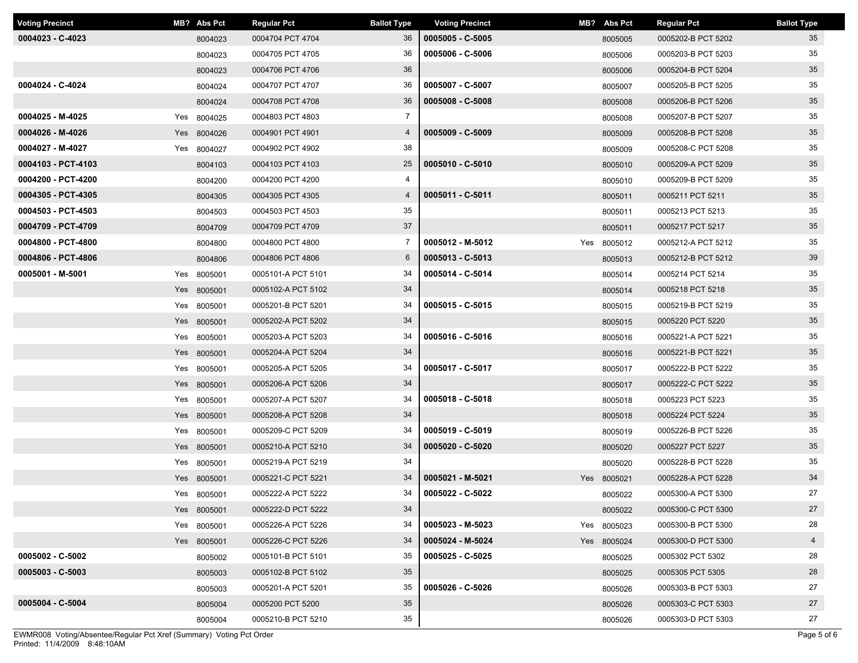| <b>Voting Precinct</b> | MB? Abs Pct | <b>Regular Pct</b> | <b>Ballot Type</b> | <b>Voting Precinct</b> | MB? Abs Pct | <b>Regular Pct</b> | <b>Ballot Type</b> |
|------------------------|-------------|--------------------|--------------------|------------------------|-------------|--------------------|--------------------|
| 0004023 - C-4023       | 8004023     | 0004704 PCT 4704   | 36                 | 0005005 - C-5005       | 8005005     | 0005202-B PCT 5202 | 35                 |
|                        | 8004023     | 0004705 PCT 4705   | 36                 | 0005006 - C-5006       | 8005006     | 0005203-B PCT 5203 | 35                 |
|                        | 8004023     | 0004706 PCT 4706   | 36                 |                        | 8005006     | 0005204-B PCT 5204 | 35                 |
| 0004024 - C-4024       | 8004024     | 0004707 PCT 4707   | 36                 | 0005007 - C-5007       | 8005007     | 0005205-B PCT 5205 | 35                 |
|                        | 8004024     | 0004708 PCT 4708   | 36                 | 0005008 - C-5008       | 8005008     | 0005206-B PCT 5206 | 35                 |
| 0004025 - M-4025       | Yes 8004025 | 0004803 PCT 4803   | $\overline{7}$     |                        | 8005008     | 0005207-B PCT 5207 | 35                 |
| 0004026 - M-4026       | Yes 8004026 | 0004901 PCT 4901   | $\overline{4}$     | 0005009 - C-5009       | 8005009     | 0005208-B PCT 5208 | 35                 |
| 0004027 - M-4027       | Yes 8004027 | 0004902 PCT 4902   | 38                 |                        | 8005009     | 0005208-C PCT 5208 | 35                 |
| 0004103 - PCT-4103     | 8004103     | 0004103 PCT 4103   | 25                 | 0005010 - C-5010       | 8005010     | 0005209-A PCT 5209 | 35                 |
| 0004200 - PCT-4200     | 8004200     | 0004200 PCT 4200   | 4                  |                        | 8005010     | 0005209-B PCT 5209 | 35                 |
| 0004305 - PCT-4305     | 8004305     | 0004305 PCT 4305   | $\overline{4}$     | 0005011 - C-5011       | 8005011     | 0005211 PCT 5211   | 35                 |
| 0004503 - PCT-4503     | 8004503     | 0004503 PCT 4503   | 35                 |                        | 8005011     | 0005213 PCT 5213   | 35                 |
| 0004709 - PCT-4709     | 8004709     | 0004709 PCT 4709   | 37                 |                        | 8005011     | 0005217 PCT 5217   | 35                 |
| 0004800 - PCT-4800     | 8004800     | 0004800 PCT 4800   | 7                  | 0005012 - M-5012       | Yes 8005012 | 0005212-A PCT 5212 | 35                 |
| 0004806 - PCT-4806     | 8004806     | 0004806 PCT 4806   | 6                  | 0005013 - C-5013       | 8005013     | 0005212-B PCT 5212 | 39                 |
| 0005001 - M-5001       | Yes 8005001 | 0005101-A PCT 5101 | 34                 | 0005014 - C-5014       | 8005014     | 0005214 PCT 5214   | 35                 |
|                        | Yes 8005001 | 0005102-A PCT 5102 | 34                 |                        | 8005014     | 0005218 PCT 5218   | 35                 |
|                        | Yes 8005001 | 0005201-B PCT 5201 | 34                 | 0005015 - C-5015       | 8005015     | 0005219-B PCT 5219 | 35                 |
|                        | Yes 8005001 | 0005202-A PCT 5202 | 34                 |                        | 8005015     | 0005220 PCT 5220   | 35                 |
|                        | Yes 8005001 | 0005203-A PCT 5203 | 34                 | 0005016 - C-5016       | 8005016     | 0005221-A PCT 5221 | 35                 |
|                        | Yes 8005001 | 0005204-A PCT 5204 | 34                 |                        | 8005016     | 0005221-B PCT 5221 | 35                 |
|                        | Yes 8005001 | 0005205-A PCT 5205 | 34                 | 0005017 - C-5017       | 8005017     | 0005222-B PCT 5222 | 35                 |
|                        | Yes 8005001 | 0005206-A PCT 5206 | 34                 |                        | 8005017     | 0005222-C PCT 5222 | 35                 |
|                        | Yes 8005001 | 0005207-A PCT 5207 | 34                 | 0005018 - C-5018       | 8005018     | 0005223 PCT 5223   | 35                 |
|                        | Yes 8005001 | 0005208-A PCT 5208 | 34                 |                        | 8005018     | 0005224 PCT 5224   | 35                 |
|                        | Yes 8005001 | 0005209-C PCT 5209 | 34                 | 0005019 - C-5019       | 8005019     | 0005226-B PCT 5226 | 35                 |
|                        | Yes 8005001 | 0005210-A PCT 5210 | 34                 | 0005020 - C-5020       | 8005020     | 0005227 PCT 5227   | 35                 |
|                        | Yes 8005001 | 0005219-A PCT 5219 | 34                 |                        | 8005020     | 0005228-B PCT 5228 | 35                 |
|                        | Yes 8005001 | 0005221-C PCT 5221 | 34                 | 0005021 - M-5021       | Yes 8005021 | 0005228-A PCT 5228 | 34                 |
|                        | Yes 8005001 | 0005222-A PCT 5222 | 34                 | 0005022 - C-5022       | 8005022     | 0005300-A PCT 5300 | 27                 |
|                        | Yes 8005001 | 0005222-D PCT 5222 | 34                 |                        | 8005022     | 0005300-C PCT 5300 | 27                 |
|                        | Yes 8005001 | 0005226-A PCT 5226 | 34                 | 0005023 - M-5023       | Yes 8005023 | 0005300-B PCT 5300 | 28                 |
|                        | Yes 8005001 | 0005226-C PCT 5226 | 34                 | 0005024 - M-5024       | Yes 8005024 | 0005300-D PCT 5300 | $\overline{4}$     |
| 0005002 - C-5002       | 8005002     | 0005101-B PCT 5101 | 35                 | 0005025 - C-5025       | 8005025     | 0005302 PCT 5302   | 28                 |
| 0005003 - C-5003       | 8005003     | 0005102-B PCT 5102 | 35                 |                        | 8005025     | 0005305 PCT 5305   | 28                 |
|                        | 8005003     | 0005201-A PCT 5201 | 35                 | 0005026 - C-5026       | 8005026     | 0005303-B PCT 5303 | 27                 |
| 0005004 - C-5004       | 8005004     | 0005200 PCT 5200   | 35                 |                        | 8005026     | 0005303-C PCT 5303 | 27                 |
|                        | 8005004     | 0005210-B PCT 5210 | 35                 |                        | 8005026     | 0005303-D PCT 5303 | 27                 |